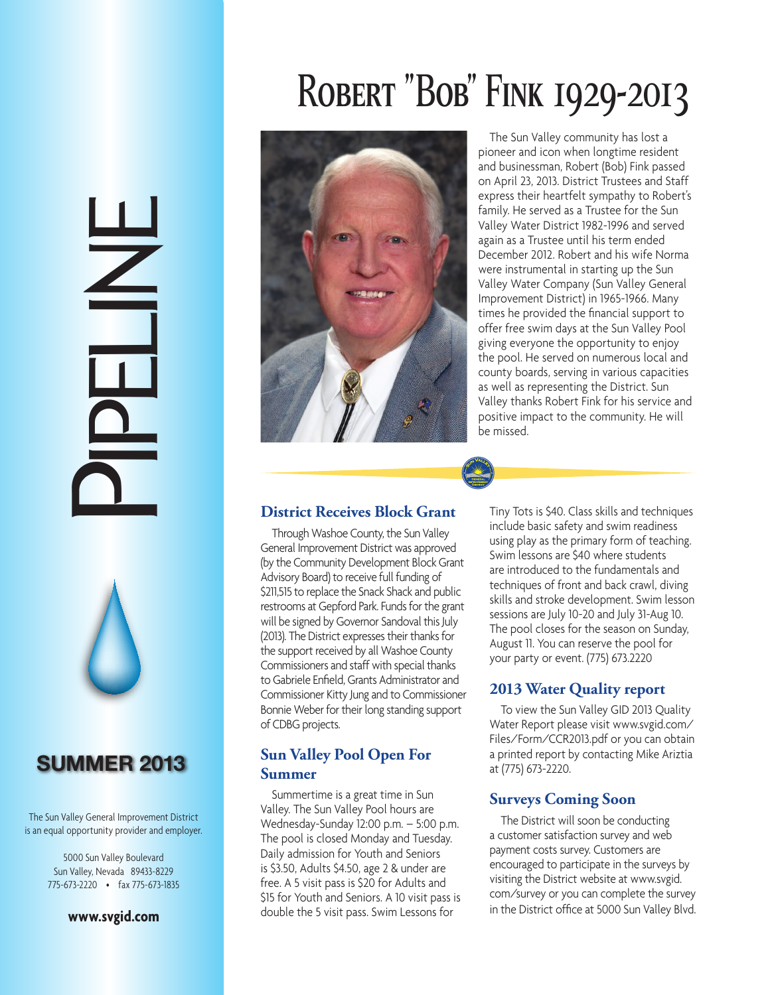# PELINE<br>Pipeline



# **SUMMER 2013**

The Sun Valley General Improvement District is an equal opportunity provider and employer.

> 5000 Sun Valley Boulevard Sun Valley, Nevada 89433-8229 775-673-2220 • fax 775-673-1835

### **www.svgid.com**





The Sun Valley community has lost a pioneer and icon when longtime resident and businessman, Robert (Bob) Fink passed on April 23, 2013. District Trustees and Staff express their heartfelt sympathy to Robert's family. He served as a Trustee for the Sun Valley Water District 1982-1996 and served again as a Trustee until his term ended December 2012. Robert and his wife Norma were instrumental in starting up the Sun Valley Water Company (Sun Valley General Improvement District) in 1965-1966. Many times he provided the financial support to offer free swim days at the Sun Valley Pool giving everyone the opportunity to enjoy the pool. He served on numerous local and county boards, serving in various capacities as well as representing the District. Sun Valley thanks Robert Fink for his service and positive impact to the community. He will be missed.

### **District Receives Block Grant**

Through Washoe County, the Sun Valley General Improvement District was approved (by the Community Development Block Grant Advisory Board) to receive full funding of \$211,515 to replace the Snack Shack and public restrooms at Gepford Park. Funds for the grant will be signed by Governor Sandoval this July (2013). The District expresses their thanks for the support received by all Washoe County Commissioners and staff with special thanks to Gabriele Enfield, Grants Administrator and Commissioner Kitty Jung and to Commissioner Bonnie Weber for their long standing support of CDBG projects.

# **Sun Valley Pool Open For Summer**

Summertime is a great time in Sun Valley. The Sun Valley Pool hours are Wednesday-Sunday 12:00 p.m. – 5:00 p.m. The pool is closed Monday and Tuesday. Daily admission for Youth and Seniors is \$3.50, Adults \$4.50, age 2 & under are free. A 5 visit pass is \$20 for Adults and \$15 for Youth and Seniors. A 10 visit pass is double the 5 visit pass. Swim Lessons for

Tiny Tots is \$40. Class skills and techniques include basic safety and swim readiness using play as the primary form of teaching. Swim lessons are \$40 where students are introduced to the fundamentals and techniques of front and back crawl, diving skills and stroke development. Swim lesson sessions are July 10-20 and July 31-Aug 10. The pool closes for the season on Sunday, August 11. You can reserve the pool for your party or event. (775) 673.2220

# **2013 Water Quality report**

To view the Sun Valley GID 2013 Quality Water Report please visit www.svgid.com/ Files/Form/CCR2013.pdf or you can obtain a printed report by contacting Mike Ariztia at (775) 673-2220.

# **Surveys Coming Soon**

The District will soon be conducting a customer satisfaction survey and web payment costs survey. Customers are encouraged to participate in the surveys by visiting the District website at www.svgid. com/survey or you can complete the survey in the District office at 5000 Sun Valley Blvd.